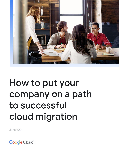

# How to put your company on a path to successful cloud migration

June 2021

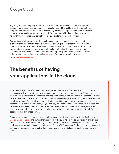### **Google Cloud**

Migrating your company's applications to the cloud has many benefits, including improved customer satisfaction, the reduction of technical debt, and the ability to lay the foundations of operational excellence. But there are also many challenges. Organizations often stop short because they don't know how to get started. We hope to provide simple, direct guidance to help with the most important part of your digital transformation: the beginning.

Application migration can be challenging because there isn't a one-size-fits-all solution – every digital transformation has its own nuances and unique considerations. Before starting out on this journey, you need to understand the advantages and disadvantages of the options available to you, so you can create a migration plan that makes the most sense for your business. We've outlined the benefits of different migration paths to help you decide what's right for your organization. You can also [contact us](https://cloud.google.com/contact) for more information or start with a [free cost assessment.](https://inthecloud.withgoogle.com/tco-assessment-19/form.html)

## **The benefits of having your applications in the cloud**

A successful digital transformation can help your organization stay competitive and quickly boost business growth in many different ways. It can streamline operations and free your IT team from labor-intensive application maintenance, allowing them to focus on high-impact projects instead. You'll be able to reduce complexity and cost, and improve business insights by replacing legacy systems with cloud-native ones. Plus, you'll get nearly unlimited scalability that allows your organization to scale applications up or down on demand, so you only pay for what you need. This added flexibility can also help accelerate development and reduce procurement cycles. At a higher level, having consistent, repeatable, operations you can scale can allow your executive leadership team to shift their focus to acceleration and business growth.

Because the beginning is always the most challenging part of your digital transformation journey, [Google Cloud solutions](https://cloud.google.com/contact) and our partners can work with you to help develop a detailed migration plan that's tailored to the needs of your organization. Google Cloud offers many options to support your application stacks, including Google Kubernetes Engine (GKE), Compute Engine, and various managed services for storage, networking, big data, monitoring, artificial intelligence, machine learning, and more.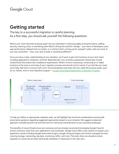**Google Cloud** 

## **Getting started**

#### The key to a successful migration is careful planning. As a first step, you should ask yourself the following questions:

What's your most important business goal? Are you interested in improving agility and performance, adding security, lowering costs, or something else? What's driving the need for change – your team of developers, poor app performance, delayed time to market, or a contract that's coming up for renewal? Lastly, what are some of your top constraints – time, cost, lack of staff, or something different?

Once you have a clear understanding of your situation, you'll want to get a full inventory of your tech stack, including applications, hardware, and their dependencies. Your inventory assessment should also include nontechnical information like compliance requirements. While it is time-consuming, conducting an in-depth inventory is the most crucial step of your migration process and should not be rushed. If you feel like you need some help, feel free to connect with us for recommendations and tools that can make the process easier, such as our holistic, end-to-end migration program - [Google Cloud Rapid Assessment & Migration Program](https://cloud.google.com/solutions/cloud-migration-program).



To help you define an appropriate migration path, we will highlight key technical considerations and provide prescriptive guidance regarding suggested approaches based on your situation. We suggest a balanced approach considering both the technical and non-technical characteristics of your business landscape.

The benefits of cloud infrastructure are numerous and we strongly recommend leveraging Google Cloud to extract maximum value from your applications and workloads. Google Cloud offers many options to support your application stacks including Google Kubernetes Engine, Google Compute Engine and various managed services covering storage, networking, big data, monitoring, AI/ML, and more. That said, there are situations where migration to cloud may be either technically infeasible or impractical in the near term.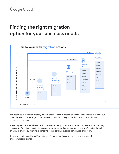# **Finding the right migration option for your business needs**



The best type of migration strategy for your organization will depend on what you need to move to the cloud. It also depends on whether you want those workloads to run only in the cloud or in combination with on-premises systems.

There may also be external reasons that dictate the best path to take. For example, you might be migrating because you're hitting capacity thresholds, you want a new data-center provider, or you're going through an acquisition. Or you might have concerns about licensing, support, compliance, or security.

To help you understand how different types of cloud migrations work, we'll give you an overview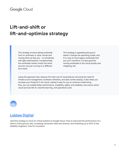## **Lift-and-shift or lift-and-optimize strategy**

This strategy involves taking workloads from on-premises or other clouds and moving them as they are – or sometimes with light optimizations. Fundamentally, the workloads remain mostly the same and are now just running on a different tech stack.

This strategy is appealing because it doesn't change the operating model, and it's a way to move legacy workloads that you can't transform. It's also good for moving workloads to the cloud quickly and mitigating risk.

Using this approach also reduces the total cost of ownership by removing the need for infrastructure management, hardware refreshes, and data-center leasing. It also helps you increase your footprint in the cloud, making it easy for you to continue modernizing. Plus, you can enable better performance, scalability, agility, and reliability, and unlock native cloud services like AI, machine learning, and operations suite.



#### **[Loblaw Digital](https://cloud.google.com/customers/loblaw)**

used this strategy to move its critical systems to Google Cloud. They've improved the performance of a client's online grocery site, increasing conversion rates and revenue, and reclaiming up to 50% of site reliability engineers' time for innovation.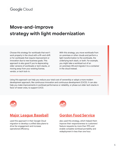# **Move-and-improve strategy with light modernization**

Choose this strategy for workloads that won't work properly in the cloud with a lift-and-shift or for workloads that require improvement or innovation due to new business goals. This approach is also good if you're deprecating older versions of workloads or tech stacks, or moving away from your existing license, vendor, or tech lock-in.

With this strategy, you move workloads from on-premises or other clouds and perform a light transformation to the workloads, the underlying tech stack, or both. For example, you might take a workload out of an on-premises VM and migrate it to a container in the cloud instead.

Using this approach can help you reduce your total cost of ownership or adopt a more modern development approach, like continuous innovation and continuous development (CI/CD). It can also help you make improvements in workload performance or reliability, or phase out older tech stacks in favor of newer ones, to support CI/CD.



#### **[Major League Baseball](https://cloud.google.com/customers/mlb)**

used this approach in their Google Cloud migration to develop a unified data plane to drive fan engagement and increase operational efficiency.



#### **[Gordon Food Service](https://cloud.google.com/customers/gordon-food-service)**

also used this strategy, which helped them improve their responsiveness to customers' feature requests by more than 99% and enable complete workload portability and redeployment in less than one hour.